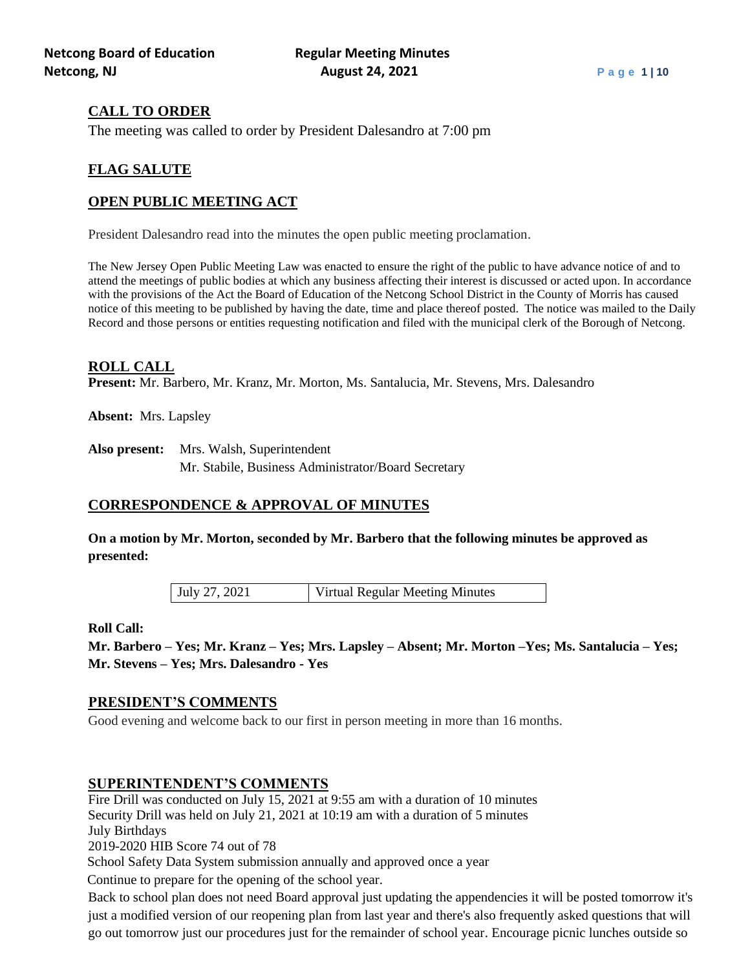# **CALL TO ORDER**

The meeting was called to order by President Dalesandro at 7:00 pm

# **FLAG SALUTE**

# **OPEN PUBLIC MEETING ACT**

President Dalesandro read into the minutes the open public meeting proclamation.

The New Jersey Open Public Meeting Law was enacted to ensure the right of the public to have advance notice of and to attend the meetings of public bodies at which any business affecting their interest is discussed or acted upon. In accordance with the provisions of the Act the Board of Education of the Netcong School District in the County of Morris has caused notice of this meeting to be published by having the date, time and place thereof posted. The notice was mailed to the Daily Record and those persons or entities requesting notification and filed with the municipal clerk of the Borough of Netcong.

### **ROLL CALL**

**Present:** Mr. Barbero, Mr. Kranz, Mr. Morton, Ms. Santalucia, Mr. Stevens, Mrs. Dalesandro

**Absent:** Mrs. Lapsley

**Also present:** Mrs. Walsh, Superintendent Mr. Stabile, Business Administrator/Board Secretary

# **CORRESPONDENCE & APPROVAL OF MINUTES**

**On a motion by Mr. Morton, seconded by Mr. Barbero that the following minutes be approved as presented:**

July 27, 2021 Virtual Regular Meeting Minutes

### **Roll Call:**

**Mr. Barbero – Yes; Mr. Kranz – Yes; Mrs. Lapsley – Absent; Mr. Morton –Yes; Ms. Santalucia – Yes; Mr. Stevens – Yes; Mrs. Dalesandro - Yes**

# **PRESIDENT'S COMMENTS**

Good evening and welcome back to our first in person meeting in more than 16 months.

# **SUPERINTENDENT'S COMMENTS**

Fire Drill was conducted on July 15, 2021 at 9:55 am with a duration of 10 minutes Security Drill was held on July 21, 2021 at 10:19 am with a duration of 5 minutes July Birthdays

2019-2020 HIB Score 74 out of 78

School Safety Data System submission annually and approved once a year

Continue to prepare for the opening of the school year.

Back to school plan does not need Board approval just updating the appendencies it will be posted tomorrow it's just a modified version of our reopening plan from last year and there's also frequently asked questions that will go out tomorrow just our procedures just for the remainder of school year. Encourage picnic lunches outside so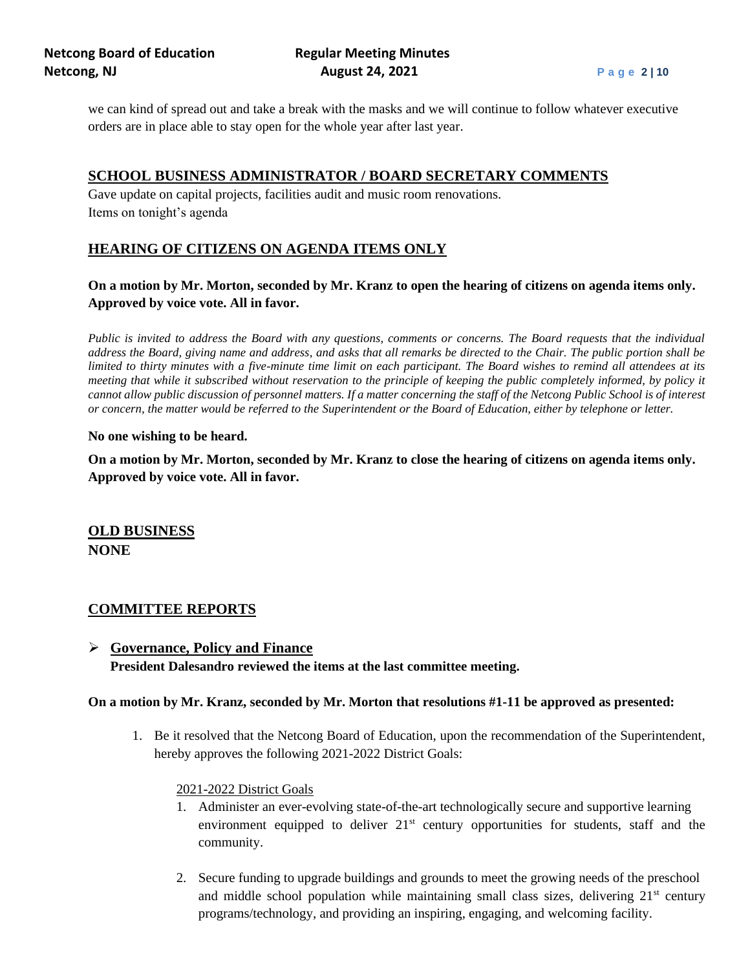we can kind of spread out and take a break with the masks and we will continue to follow whatever executive orders are in place able to stay open for the whole year after last year.

# **SCHOOL BUSINESS ADMINISTRATOR / BOARD SECRETARY COMMENTS**

Gave update on capital projects, facilities audit and music room renovations. Items on tonight's agenda

# **HEARING OF CITIZENS ON AGENDA ITEMS ONLY**

**On a motion by Mr. Morton, seconded by Mr. Kranz to open the hearing of citizens on agenda items only. Approved by voice vote. All in favor.**

*Public is invited to address the Board with any questions, comments or concerns. The Board requests that the individual address the Board, giving name and address, and asks that all remarks be directed to the Chair. The public portion shall be limited to thirty minutes with a five-minute time limit on each participant. The Board wishes to remind all attendees at its meeting that while it subscribed without reservation to the principle of keeping the public completely informed, by policy it cannot allow public discussion of personnel matters. If a matter concerning the staff of the Netcong Public School is of interest or concern, the matter would be referred to the Superintendent or the Board of Education, either by telephone or letter.*

#### **No one wishing to be heard.**

**On a motion by Mr. Morton, seconded by Mr. Kranz to close the hearing of citizens on agenda items only. Approved by voice vote. All in favor.**

**OLD BUSINESS NONE**

### **COMMITTEE REPORTS**

➢ **Governance, Policy and Finance President Dalesandro reviewed the items at the last committee meeting.** 

### **On a motion by Mr. Kranz, seconded by Mr. Morton that resolutions #1-11 be approved as presented:**

1. Be it resolved that the Netcong Board of Education, upon the recommendation of the Superintendent, hereby approves the following 2021-2022 District Goals:

### 2021-2022 District Goals

- 1. Administer an ever-evolving state-of-the-art technologically secure and supportive learning environment equipped to deliver  $21<sup>st</sup>$  century opportunities for students, staff and the community.
- 2. Secure funding to upgrade buildings and grounds to meet the growing needs of the preschool and middle school population while maintaining small class sizes, delivering  $21<sup>st</sup>$  century programs/technology, and providing an inspiring, engaging, and welcoming facility.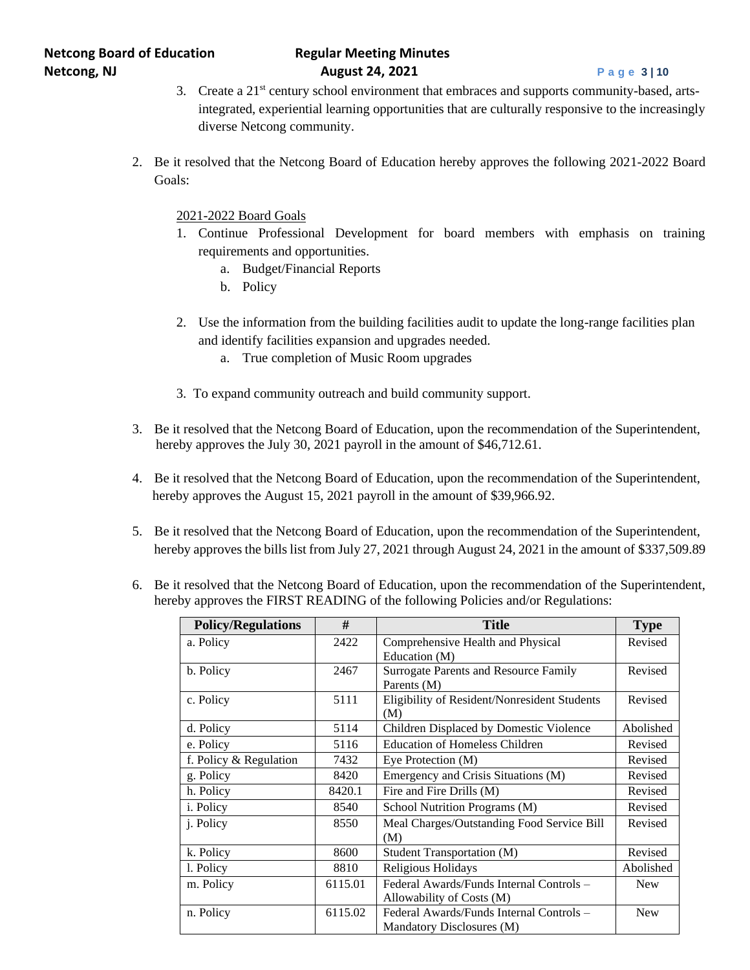- 3. Create a 21st century school environment that embraces and supports community-based, artsintegrated, experiential learning opportunities that are culturally responsive to the increasingly diverse Netcong community.
- 2. Be it resolved that the Netcong Board of Education hereby approves the following 2021-2022 Board Goals:

2021-2022 Board Goals

- 1. Continue Professional Development for board members with emphasis on training requirements and opportunities.
	- a. Budget/Financial Reports
	- b. Policy
- 2. Use the information from the building facilities audit to update the long-range facilities plan and identify facilities expansion and upgrades needed.
	- a. True completion of Music Room upgrades
- 3. To expand community outreach and build community support.
- 3. Be it resolved that the Netcong Board of Education, upon the recommendation of the Superintendent, hereby approves the July 30, 2021 payroll in the amount of \$46,712.61.
- 4. Be it resolved that the Netcong Board of Education, upon the recommendation of the Superintendent, hereby approves the August 15, 2021 payroll in the amount of \$39,966.92.
- 5. Be it resolved that the Netcong Board of Education, upon the recommendation of the Superintendent, hereby approves the bills list from July 27, 2021 through August 24, 2021 in the amount of \$337,509.89
- 6. Be it resolved that the Netcong Board of Education, upon the recommendation of the Superintendent, hereby approves the FIRST READING of the following Policies and/or Regulations:

| <b>Policy/Regulations</b> | #       | <b>Title</b>                                 | <b>Type</b> |
|---------------------------|---------|----------------------------------------------|-------------|
| a. Policy                 | 2422    | Comprehensive Health and Physical            | Revised     |
|                           |         | Education (M)                                |             |
| b. Policy                 | 2467    | <b>Surrogate Parents and Resource Family</b> | Revised     |
|                           |         | Parents (M)                                  |             |
| c. Policy                 | 5111    | Eligibility of Resident/Nonresident Students | Revised     |
|                           |         | (M)                                          |             |
| d. Policy                 | 5114    | Children Displaced by Domestic Violence      | Abolished   |
| e. Policy                 | 5116    | <b>Education of Homeless Children</b>        | Revised     |
| f. Policy & Regulation    | 7432    | Eye Protection (M)                           | Revised     |
| g. Policy                 | 8420    | Emergency and Crisis Situations (M)          | Revised     |
| h. Policy                 | 8420.1  | Fire and Fire Drills (M)                     | Revised     |
| <i>i</i> . Policy         | 8540    | School Nutrition Programs (M)                | Revised     |
| <i>i</i> . Policy         | 8550    | Meal Charges/Outstanding Food Service Bill   | Revised     |
|                           |         | (M)                                          |             |
| k. Policy                 | 8600    | Student Transportation (M)                   | Revised     |
| 1. Policy                 | 8810    | Religious Holidays                           | Abolished   |
| m. Policy                 | 6115.01 | Federal Awards/Funds Internal Controls –     | <b>New</b>  |
|                           |         | Allowability of Costs (M)                    |             |
| n. Policy                 | 6115.02 | Federal Awards/Funds Internal Controls –     | <b>New</b>  |
|                           |         | Mandatory Disclosures (M)                    |             |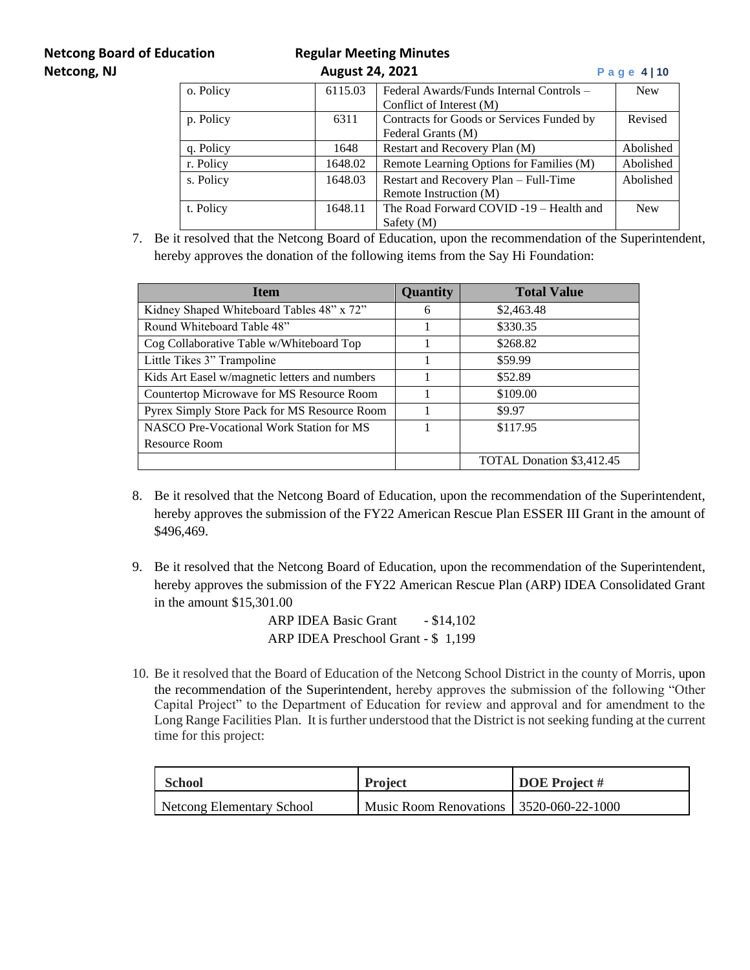# **Netcong Board of Education Regular Meeting Minutes**

| Netcong, NJ |                      | Page $4 10$ |                                           |            |
|-------------|----------------------|-------------|-------------------------------------------|------------|
|             | o. Policy<br>6115.03 |             | Federal Awards/Funds Internal Controls –  | <b>New</b> |
|             |                      |             | Conflict of Interest (M)                  |            |
|             | p. Policy            | 6311        | Contracts for Goods or Services Funded by | Revised    |
|             |                      |             | Federal Grants (M)                        |            |
|             | q. Policy            | 1648        | Restart and Recovery Plan (M)             | Abolished  |
|             | r. Policy            | 1648.02     | Remote Learning Options for Families (M)  | Abolished  |
|             | s. Policy            | 1648.03     | Restart and Recovery Plan – Full-Time     | Abolished  |
|             |                      |             | Remote Instruction (M)                    |            |
|             | t. Policy            | 1648.11     | The Road Forward COVID-19 - Health and    | <b>New</b> |
|             |                      |             | Safety $(M)$                              |            |

7. Be it resolved that the Netcong Board of Education, upon the recommendation of the Superintendent, hereby approves the donation of the following items from the Say Hi Foundation:

| <b>Item</b>                                   | Quantity | <b>Total Value</b>        |
|-----------------------------------------------|----------|---------------------------|
| Kidney Shaped Whiteboard Tables 48" x 72"     | 6        | \$2,463.48                |
| Round Whiteboard Table 48"                    |          | \$330.35                  |
| Cog Collaborative Table w/Whiteboard Top      |          | \$268.82                  |
| Little Tikes 3" Trampoline                    |          | \$59.99                   |
| Kids Art Easel w/magnetic letters and numbers |          | \$52.89                   |
| Countertop Microwave for MS Resource Room     |          | \$109.00                  |
| Pyrex Simply Store Pack for MS Resource Room  |          | \$9.97                    |
| NASCO Pre-Vocational Work Station for MS      |          | \$117.95                  |
| Resource Room                                 |          |                           |
|                                               |          | TOTAL Donation \$3,412.45 |

- 8. Be it resolved that the Netcong Board of Education, upon the recommendation of the Superintendent, hereby approves the submission of the FY22 American Rescue Plan ESSER III Grant in the amount of \$496,469.
- 9. Be it resolved that the Netcong Board of Education, upon the recommendation of the Superintendent, hereby approves the submission of the FY22 American Rescue Plan (ARP) IDEA Consolidated Grant in the amount \$15,301.00

ARP IDEA Basic Grant - \$14,102 ARP IDEA Preschool Grant - \$ 1,199

10. Be it resolved that the Board of Education of the Netcong School District in the county of Morris, upon the recommendation of the Superintendent, hereby approves the submission of the following "Other Capital Project" to the Department of Education for review and approval and for amendment to the Long Range Facilities Plan. It is further understood that the District is not seeking funding at the current time for this project:

| School                    | <b>Project</b>                          | <b>DOE</b> Project # |
|---------------------------|-----------------------------------------|----------------------|
| Netcong Elementary School | Music Room Renovations 3520-060-22-1000 |                      |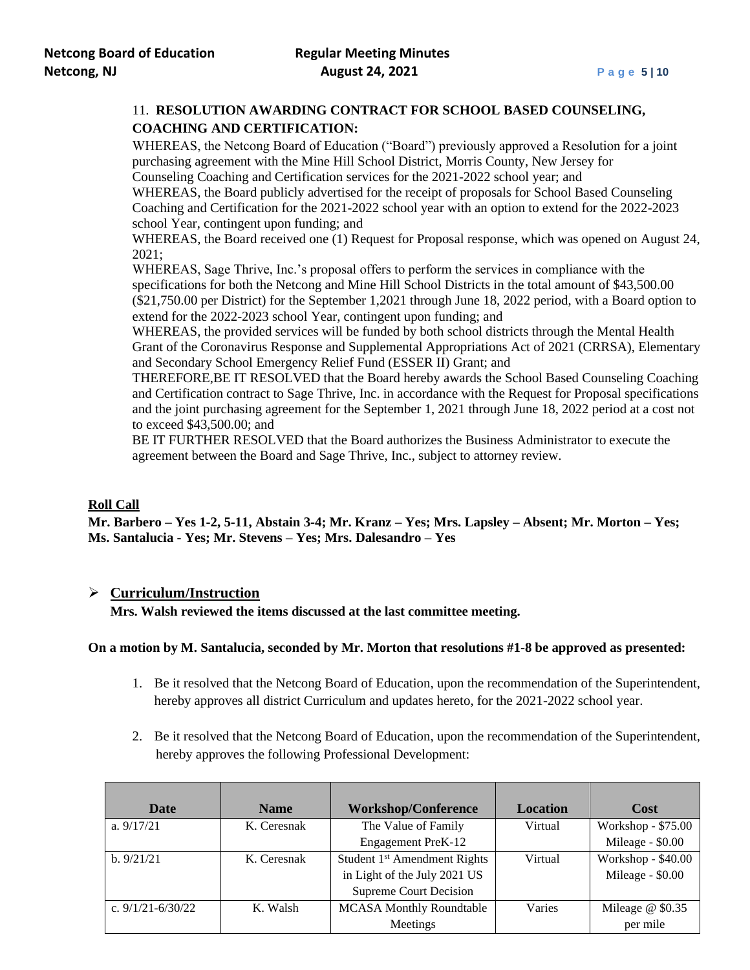# 11. **RESOLUTION AWARDING CONTRACT FOR SCHOOL BASED COUNSELING, COACHING AND CERTIFICATION:**

WHEREAS, the Netcong Board of Education ("Board") previously approved a Resolution for a joint purchasing agreement with the Mine Hill School District, Morris County, New Jersey for Counseling Coaching and Certification services for the 2021-2022 school year; and

WHEREAS, the Board publicly advertised for the receipt of proposals for School Based Counseling Coaching and Certification for the 2021-2022 school year with an option to extend for the 2022-2023 school Year, contingent upon funding; and

WHEREAS, the Board received one (1) Request for Proposal response, which was opened on August 24, 2021;

WHEREAS, Sage Thrive, Inc.'s proposal offers to perform the services in compliance with the specifications for both the Netcong and Mine Hill School Districts in the total amount of \$43,500.00 (\$21,750.00 per District) for the September 1,2021 through June 18, 2022 period, with a Board option to extend for the 2022-2023 school Year, contingent upon funding; and

WHEREAS, the provided services will be funded by both school districts through the Mental Health Grant of the Coronavirus Response and Supplemental Appropriations Act of 2021 (CRRSA), Elementary and Secondary School Emergency Relief Fund (ESSER II) Grant; and

THEREFORE,BE IT RESOLVED that the Board hereby awards the School Based Counseling Coaching and Certification contract to Sage Thrive, Inc. in accordance with the Request for Proposal specifications and the joint purchasing agreement for the September 1, 2021 through June 18, 2022 period at a cost not to exceed \$43,500.00; and

BE IT FURTHER RESOLVED that the Board authorizes the Business Administrator to execute the agreement between the Board and Sage Thrive, Inc., subject to attorney review.

### **Roll Call**

**Mr. Barbero – Yes 1-2, 5-11, Abstain 3-4; Mr. Kranz – Yes; Mrs. Lapsley – Absent; Mr. Morton – Yes; Ms. Santalucia - Yes; Mr. Stevens – Yes; Mrs. Dalesandro – Yes**

### ➢ **Curriculum/Instruction**

**Mrs. Walsh reviewed the items discussed at the last committee meeting.**

### **On a motion by M. Santalucia, seconded by Mr. Morton that resolutions #1-8 be approved as presented:**

- 1. Be it resolved that the Netcong Board of Education, upon the recommendation of the Superintendent, hereby approves all district Curriculum and updates hereto, for the 2021-2022 school year.
- 2. Be it resolved that the Netcong Board of Education, upon the recommendation of the Superintendent, hereby approves the following Professional Development:

| Date                  | <b>Name</b> | <b>Workshop/Conference</b>                | <b>Location</b> | Cost               |
|-----------------------|-------------|-------------------------------------------|-----------------|--------------------|
| a. $9/17/21$          | K. Ceresnak | The Value of Family                       | Virtual         | Workshop - \$75.00 |
|                       |             | <b>Engagement PreK-12</b>                 |                 | Mileage - \$0.00   |
| b. 9/21/21            | K. Ceresnak | Student 1 <sup>st</sup> Amendment Rights  | Virtual         | Workshop - \$40.00 |
|                       |             | in Light of the July 2021 US              |                 | Mileage - \$0.00   |
|                       |             | <b>Supreme Court Decision</b>             |                 |                    |
| c. $9/1/21 - 6/30/22$ | K. Walsh    | <b>MCASA Monthly Roundtable</b><br>Varies |                 | Mileage $@$ \$0.35 |
|                       |             | Meetings                                  |                 | per mile           |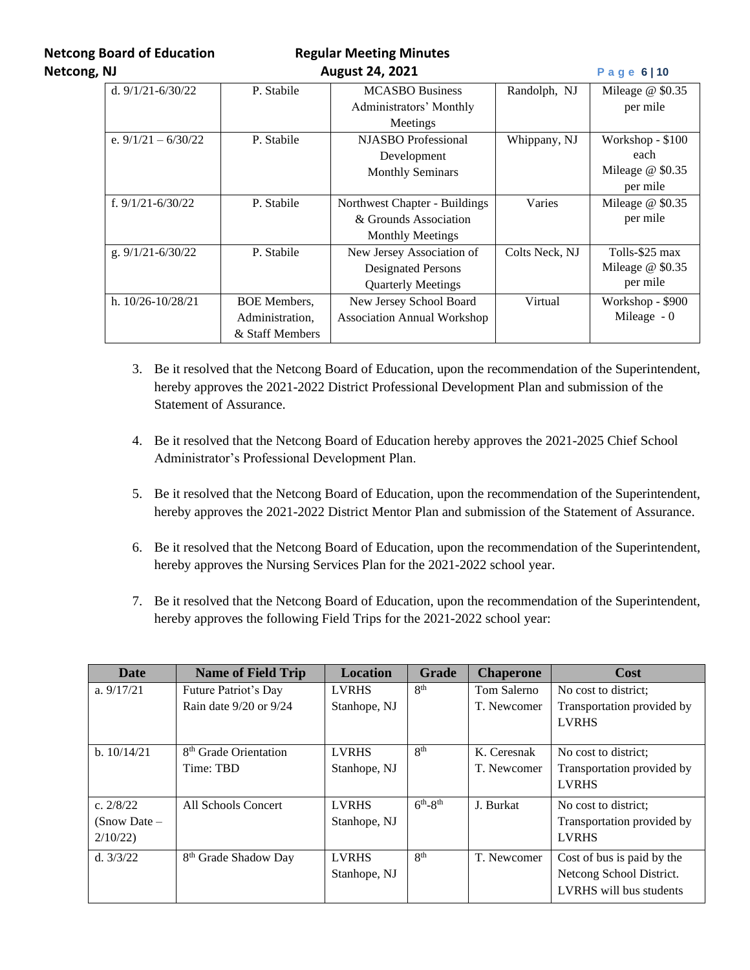**Netcong Board of Education Regular Meeting Minutes** 

| Netcong, NJ |                       |                     | <b>August 24, 2021</b>             |                | Page 6   10        |
|-------------|-----------------------|---------------------|------------------------------------|----------------|--------------------|
|             | d. $9/1/21 - 6/30/22$ | P. Stabile          | <b>MCASBO</b> Business             | Randolph, NJ   | Mileage $@$ \$0.35 |
|             |                       |                     | Administrators' Monthly            |                | per mile           |
|             |                       |                     | Meetings                           |                |                    |
|             | e. $9/1/21 - 6/30/22$ | P. Stabile          | <b>NJASBO</b> Professional         | Whippany, NJ   | Workshop - \$100   |
|             |                       |                     | Development                        |                | each               |
|             |                       |                     | <b>Monthly Seminars</b>            |                | Mileage $@$ \$0.35 |
|             |                       |                     |                                    |                | per mile           |
|             | f. $9/1/21 - 6/30/22$ | P. Stabile          | Northwest Chapter - Buildings      | Varies         | Mileage $@$ \$0.35 |
|             |                       |                     | & Grounds Association              |                | per mile           |
|             |                       |                     | <b>Monthly Meetings</b>            |                |                    |
|             | g. $9/1/21 - 6/30/22$ | P. Stabile          | New Jersey Association of          | Colts Neck, NJ | Tolls-\$25 max     |
|             |                       |                     | <b>Designated Persons</b>          |                | Mileage $@$ \$0.35 |
|             |                       |                     | <b>Quarterly Meetings</b>          |                | per mile           |
|             | h. $10/26 - 10/28/21$ | <b>BOE</b> Members, | New Jersey School Board            | Virtual        | Workshop - \$900   |
|             |                       | Administration,     | <b>Association Annual Workshop</b> |                | Mileage $-0$       |
|             |                       | & Staff Members     |                                    |                |                    |

- 3. Be it resolved that the Netcong Board of Education, upon the recommendation of the Superintendent, hereby approves the 2021-2022 District Professional Development Plan and submission of the Statement of Assurance.
- 4. Be it resolved that the Netcong Board of Education hereby approves the 2021-2025 Chief School Administrator's Professional Development Plan.
- 5. Be it resolved that the Netcong Board of Education, upon the recommendation of the Superintendent, hereby approves the 2021-2022 District Mentor Plan and submission of the Statement of Assurance.
- 6. Be it resolved that the Netcong Board of Education, upon the recommendation of the Superintendent, hereby approves the Nursing Services Plan for the 2021-2022 school year.
- 7. Be it resolved that the Netcong Board of Education, upon the recommendation of the Superintendent, hereby approves the following Field Trips for the 2021-2022 school year:

| Date           | <b>Name of Field Trip</b>         | <b>Location</b> | <b>Grade</b>      | <b>Chaperone</b> | Cost                       |
|----------------|-----------------------------------|-----------------|-------------------|------------------|----------------------------|
| a. $9/17/21$   | Future Patriot's Day              | <b>LVRHS</b>    | 8 <sup>th</sup>   | Tom Salerno      | No cost to district:       |
|                | Rain date 9/20 or 9/24            | Stanhope, NJ    |                   | T. Newcomer      | Transportation provided by |
|                |                                   |                 |                   |                  | <b>LVRHS</b>               |
|                |                                   |                 |                   |                  |                            |
| b. 10/14/21    | 8 <sup>th</sup> Grade Orientation | <b>LVRHS</b>    | 8 <sup>th</sup>   | K. Ceresnak      | No cost to district:       |
|                | Time: TBD                         | Stanhope, NJ    |                   | T. Newcomer      | Transportation provided by |
|                |                                   |                 |                   |                  | <b>LVRHS</b>               |
| c. $2/8/22$    | All Schools Concert               | <b>LVRHS</b>    | $6^{th} - 8^{th}$ | J. Burkat        | No cost to district:       |
| $(Snow Date -$ |                                   | Stanhope, NJ    |                   |                  | Transportation provided by |
| 2/10/22        |                                   |                 |                   |                  | <b>LVRHS</b>               |
| d. $3/3/22$    | 8 <sup>th</sup> Grade Shadow Day  | <b>LVRHS</b>    | 8 <sup>th</sup>   | T. Newcomer      | Cost of bus is paid by the |
|                |                                   | Stanhope, NJ    |                   |                  | Netcong School District.   |
|                |                                   |                 |                   |                  | LVRHS will bus students    |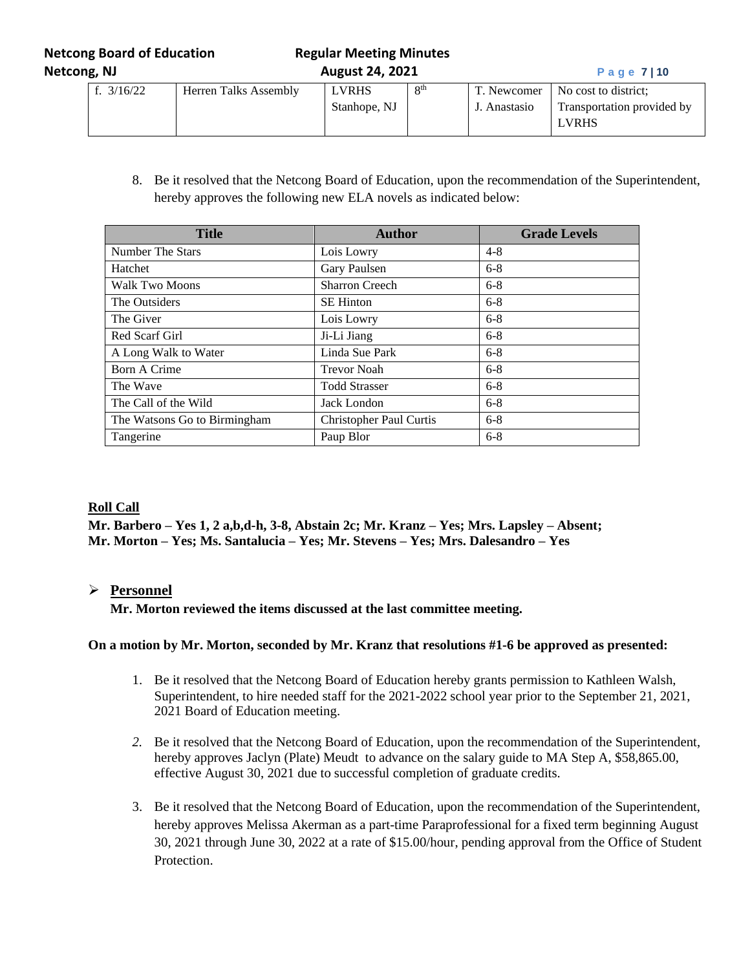**Netcong Board of Education Regular Meeting Minutes Netcong, NJ August 24, 2021 P a g e 7 | 10**

| f. $3/16/22$ | Herren Talks Assembly | <b>LVRHS</b> | $\mathbf{Q}$ th | T. Newcomer  | No cost to district:       |
|--------------|-----------------------|--------------|-----------------|--------------|----------------------------|
|              |                       | Stanhope, NJ |                 | J. Anastasio | Transportation provided by |
|              |                       |              |                 |              | <b>LVRHS</b>               |

8. Be it resolved that the Netcong Board of Education, upon the recommendation of the Superintendent, hereby approves the following new ELA novels as indicated below:

| <b>Title</b>                 | <b>Author</b>                  | <b>Grade Levels</b> |
|------------------------------|--------------------------------|---------------------|
| Number The Stars             | Lois Lowry                     | $4 - 8$             |
| Hatchet                      | Gary Paulsen                   | $6 - 8$             |
| <b>Walk Two Moons</b>        | <b>Sharron Creech</b>          | $6 - 8$             |
| The Outsiders                | <b>SE Hinton</b>               | $6 - 8$             |
| The Giver                    | Lois Lowry                     | $6 - 8$             |
| Red Scarf Girl               | Ji-Li Jiang                    | $6-8$               |
| A Long Walk to Water         | Linda Sue Park                 | $6-8$               |
| Born A Crime                 | <b>Trevor Noah</b>             | $6 - 8$             |
| The Wave                     | <b>Todd Strasser</b>           | $6 - 8$             |
| The Call of the Wild         | Jack London                    | $6 - 8$             |
| The Watsons Go to Birmingham | <b>Christopher Paul Curtis</b> | $6 - 8$             |
| Tangerine                    | Paup Blor                      | $6 - 8$             |

### **Roll Call**

**Mr. Barbero – Yes 1, 2 a,b,d-h, 3-8, Abstain 2c; Mr. Kranz – Yes; Mrs. Lapsley – Absent; Mr. Morton – Yes; Ms. Santalucia – Yes; Mr. Stevens – Yes; Mrs. Dalesandro – Yes**

# ➢ **Personnel**

**Mr. Morton reviewed the items discussed at the last committee meeting.**

### **On a motion by Mr. Morton, seconded by Mr. Kranz that resolutions #1-6 be approved as presented:**

- 1. Be it resolved that the Netcong Board of Education hereby grants permission to Kathleen Walsh, Superintendent, to hire needed staff for the 2021-2022 school year prior to the September 21, 2021, 2021 Board of Education meeting.
- *2.* Be it resolved that the Netcong Board of Education, upon the recommendation of the Superintendent, hereby approves Jaclyn (Plate) Meudt to advance on the salary guide to MA Step A, \$58,865.00, effective August 30, 2021 due to successful completion of graduate credits*.*
- 3. Be it resolved that the Netcong Board of Education, upon the recommendation of the Superintendent, hereby approves Melissa Akerman as a part-time Paraprofessional for a fixed term beginning August 30, 2021 through June 30, 2022 at a rate of \$15.00/hour, pending approval from the Office of Student Protection.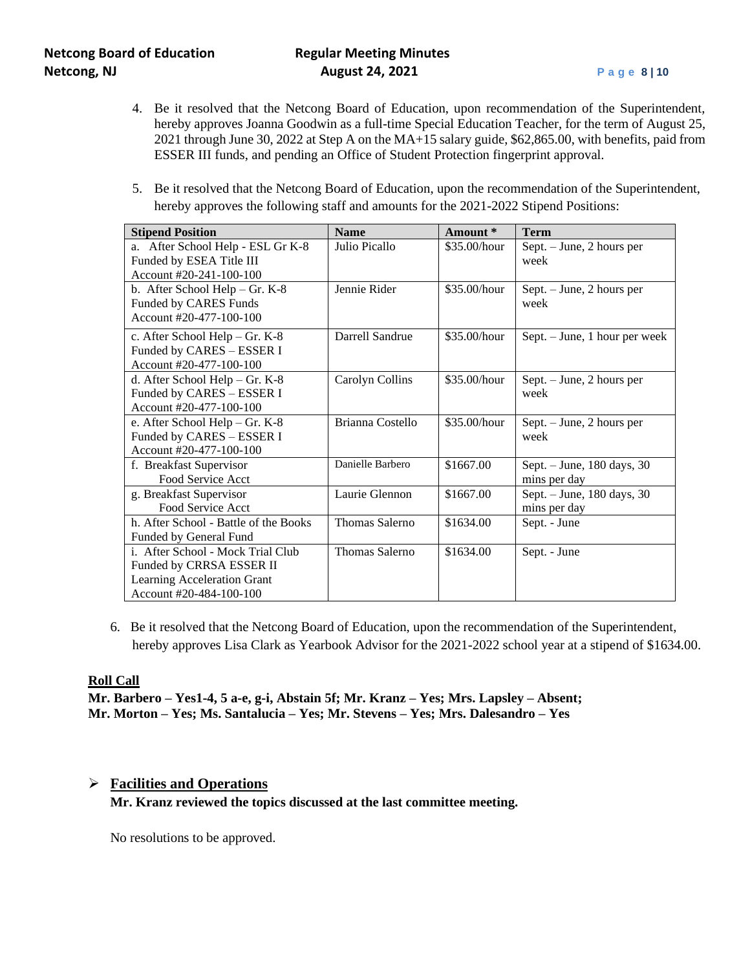- 4. Be it resolved that the Netcong Board of Education, upon recommendation of the Superintendent, hereby approves Joanna Goodwin as a full-time Special Education Teacher, for the term of August 25, 2021 through June 30, 2022 at Step A on the MA+15 salary guide, \$62,865.00, with benefits, paid from ESSER III funds, and pending an Office of Student Protection fingerprint approval.
- 5. Be it resolved that the Netcong Board of Education, upon the recommendation of the Superintendent, hereby approves the following staff and amounts for the 2021-2022 Stipend Positions:

| <b>Stipend Position</b>               | <b>Name</b>      | Amount*      | <b>Term</b>                   |
|---------------------------------------|------------------|--------------|-------------------------------|
| After School Help - ESL Gr K-8<br>a.  | Julio Picallo    | \$35.00/hour | Sept. - June, 2 hours per     |
| Funded by ESEA Title III              |                  |              | week                          |
| Account #20-241-100-100               |                  |              |                               |
| b. After School Help $-$ Gr. K-8      | Jennie Rider     | \$35.00/hour | Sept. – June, 2 hours per     |
| Funded by CARES Funds                 |                  |              | week                          |
| Account #20-477-100-100               |                  |              |                               |
| c. After School Help - Gr. K-8        | Darrell Sandrue  | \$35.00/hour | Sept. – June, 1 hour per week |
| Funded by CARES - ESSER I             |                  |              |                               |
| Account #20-477-100-100               |                  |              |                               |
| d. After School Help - Gr. K-8        | Carolyn Collins  | \$35.00/hour | Sept. – June, 2 hours per     |
| Funded by CARES - ESSER I             |                  |              | week                          |
| Account #20-477-100-100               |                  |              |                               |
| e. After School Help - Gr. K-8        | Brianna Costello | \$35.00/hour | Sept. - June, 2 hours per     |
| Funded by CARES - ESSER I             |                  |              | week                          |
| Account #20-477-100-100               |                  |              |                               |
| f. Breakfast Supervisor               | Danielle Barbero | \$1667.00    | Sept. - June, 180 days, 30    |
| Food Service Acct                     |                  |              | mins per day                  |
| g. Breakfast Supervisor               | Laurie Glennon   | \$1667.00    | Sept. - June, 180 days, 30    |
| Food Service Acct                     |                  |              | mins per day                  |
| h. After School - Battle of the Books | Thomas Salerno   | \$1634.00    | Sept. - June                  |
| Funded by General Fund                |                  |              |                               |
| i. After School - Mock Trial Club     | Thomas Salerno   | \$1634.00    | Sept. - June                  |
| Funded by CRRSA ESSER II              |                  |              |                               |
| Learning Acceleration Grant           |                  |              |                               |
| Account #20-484-100-100               |                  |              |                               |

6. Be it resolved that the Netcong Board of Education, upon the recommendation of the Superintendent, hereby approves Lisa Clark as Yearbook Advisor for the 2021-2022 school year at a stipend of \$1634.00.

### **Roll Call**

**Mr. Barbero – Yes1-4, 5 a-e, g-i, Abstain 5f; Mr. Kranz – Yes; Mrs. Lapsley – Absent; Mr. Morton – Yes; Ms. Santalucia – Yes; Mr. Stevens – Yes; Mrs. Dalesandro – Yes**

### ➢ **Facilities and Operations**

**Mr. Kranz reviewed the topics discussed at the last committee meeting.**

No resolutions to be approved.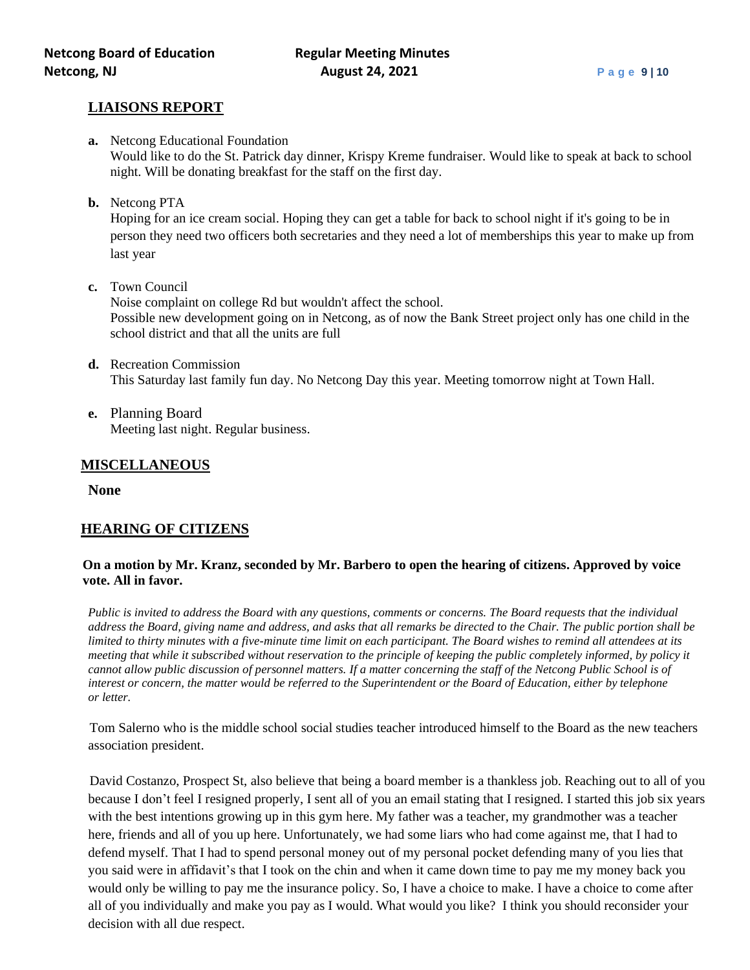### **LIAISONS REPORT**

- **a.** Netcong Educational Foundation Would like to do the St. Patrick day dinner, Krispy Kreme fundraiser. Would like to speak at back to school night. Will be donating breakfast for the staff on the first day.
- **b.** Netcong PTA

Hoping for an ice cream social. Hoping they can get a table for back to school night if it's going to be in person they need two officers both secretaries and they need a lot of memberships this year to make up from last year

**c.** Town Council

Noise complaint on college Rd but wouldn't affect the school. Possible new development going on in Netcong, as of now the Bank Street project only has one child in the school district and that all the units are full

- **d.** Recreation Commission This Saturday last family fun day. No Netcong Day this year. Meeting tomorrow night at Town Hall.
- **e.** Planning Board Meeting last night. Regular business.

# **MISCELLANEOUS**

**None**

# **HEARING OF CITIZENS**

### **On a motion by Mr. Kranz, seconded by Mr. Barbero to open the hearing of citizens. Approved by voice vote. All in favor.**

*Public is invited to address the Board with any questions, comments or concerns. The Board requests that the individual address the Board, giving name and address, and asks that all remarks be directed to the Chair. The public portion shall be limited to thirty minutes with a five-minute time limit on each participant. The Board wishes to remind all attendees at its meeting that while it subscribed without reservation to the principle of keeping the public completely informed, by policy it cannot allow public discussion of personnel matters. If a matter concerning the staff of the Netcong Public School is of interest or concern, the matter would be referred to the Superintendent or the Board of Education, either by telephone or letter.*

Tom Salerno who is the middle school social studies teacher introduced himself to the Board as the new teachers association president.

David Costanzo, Prospect St, also believe that being a board member is a thankless job. Reaching out to all of you because I don't feel I resigned properly, I sent all of you an email stating that I resigned. I started this job six years with the best intentions growing up in this gym here. My father was a teacher, my grandmother was a teacher here, friends and all of you up here. Unfortunately, we had some liars who had come against me, that I had to defend myself. That I had to spend personal money out of my personal pocket defending many of you lies that you said were in affidavit's that I took on the chin and when it came down time to pay me my money back you would only be willing to pay me the insurance policy. So, I have a choice to make. I have a choice to come after all of you individually and make you pay as I would. What would you like? I think you should reconsider your decision with all due respect.